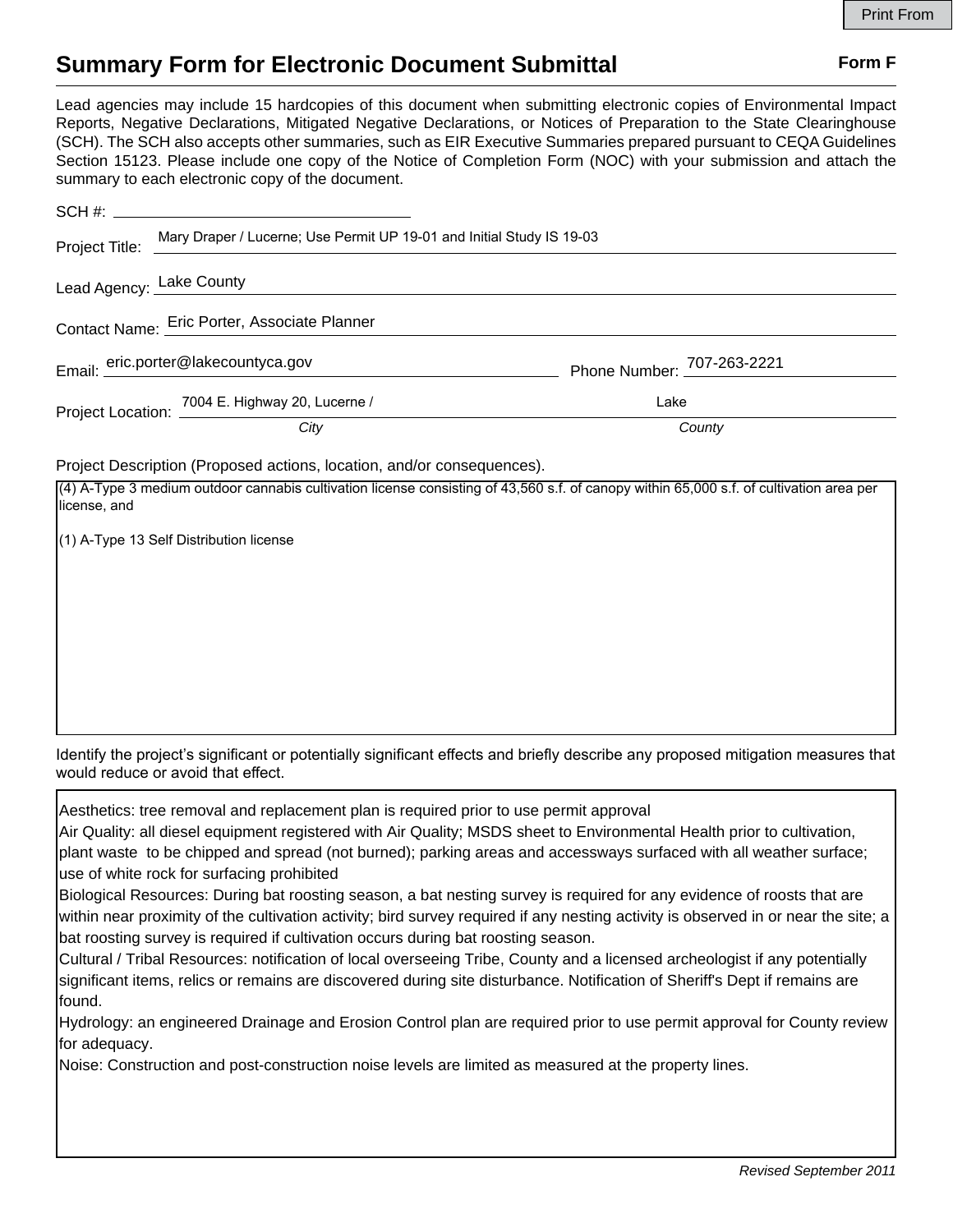## **Summary Form for Electronic Document Submittal Form F Form F**

Lead agencies may include 15 hardcopies of this document when submitting electronic copies of Environmental Impact Reports, Negative Declarations, Mitigated Negative Declarations, or Notices of Preparation to the State Clearinghouse (SCH). The SCH also accepts other summaries, such as EIR Executive Summaries prepared pursuant to CEQA Guidelines Section 15123. Please include one copy of the Notice of Completion Form (NOC) with your submission and attach the summary to each electronic copy of the document.

| Contact Name: Eric Porter, Associate Planner |                                                                                                                                                                                                                              |                            |  |
|----------------------------------------------|------------------------------------------------------------------------------------------------------------------------------------------------------------------------------------------------------------------------------|----------------------------|--|
|                                              |                                                                                                                                                                                                                              | Phone Number: 707-263-2221 |  |
|                                              |                                                                                                                                                                                                                              | Lake                       |  |
|                                              | Project Title: Mary Draper / Lucerne; Use Permit UP 19-01 and Initial Study IS 19-03<br>Lead Agency: Lake County<br>Email: eric.porter@lakecountyca.gov<br>Project Location: 7004 E. Highway 20, Lucerne /<br>County<br>City |                            |  |

Project Description (Proposed actions, location, and/or consequences).

| (1) A-Type 13 Self Distribution license | (4) A-Type 3 medium outdoor cannabis cultivation license consisting of 43,560 s.f. of canopy within 65,000 s.f. of cultivation area per |
|-----------------------------------------|-----------------------------------------------------------------------------------------------------------------------------------------|
|                                         |                                                                                                                                         |
|                                         |                                                                                                                                         |
|                                         |                                                                                                                                         |
|                                         |                                                                                                                                         |
|                                         |                                                                                                                                         |
|                                         |                                                                                                                                         |

Identify the project's significant or potentially significant effects and briefly describe any proposed mitigation measures that would reduce or avoid that effect.

Aesthetics: tree removal and replacement plan is required prior to use permit approval

Air Quality: all diesel equipment registered with Air Quality; MSDS sheet to Environmental Health prior to cultivation, plant waste to be chipped and spread (not burned); parking areas and accessways surfaced with all weather surface; use of white rock for surfacing prohibited

Biological Resources: During bat roosting season, a bat nesting survey is required for any evidence of roosts that are within near proximity of the cultivation activity; bird survey required if any nesting activity is observed in or near the site; a bat roosting survey is required if cultivation occurs during bat roosting season.

Cultural / Tribal Resources: notification of local overseeing Tribe, County and a licensed archeologist if any potentially significant items, relics or remains are discovered during site disturbance. Notification of Sheriff's Dept if remains are found.

Hydrology: an engineered Drainage and Erosion Control plan are required prior to use permit approval for County review for adequacy.

Noise: Construction and post-construction noise levels are limited as measured at the property lines.